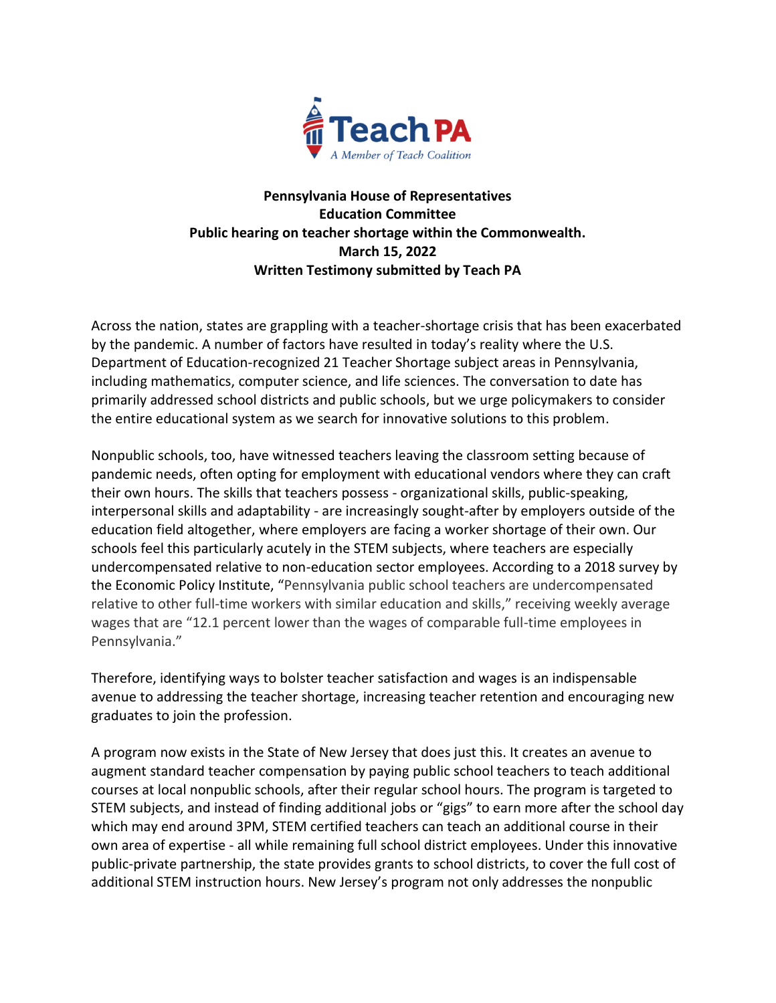

## **Pennsylvania House of Representatives Education Committee Public hearing on teacher shortage within the Commonwealth. March 15, 2022 Written Testimony submitted by Teach PA**

Across the nation, states are grappling with a teacher-shortage crisis that has been exacerbated by the pandemic. A number of factors have resulted in today's reality where the U.S. Department of Education-recognized 21 Teacher Shortage subject areas in Pennsylvania, including mathematics, computer science, and life sciences. The conversation to date has primarily addressed school districts and public schools, but we urge policymakers to consider the entire educational system as we search for innovative solutions to this problem.

Nonpublic schools, too, have witnessed teachers leaving the classroom setting because of pandemic needs, often opting for employment with educational vendors where they can craft their own hours. The skills that teachers possess - organizational skills, public-speaking, interpersonal skills and adaptability - are increasingly sought-after by employers outside of the education field altogether, where employers are facing a worker shortage of their own. Our schools feel this particularly acutely in the STEM subjects, where teachers are especially undercompensated relative to non-education sector employees. According to a 2018 survey by the Economic Policy Institute, "Pennsylvania public school teachers are undercompensated relative to other full-time workers with similar education and skills," receiving weekly average wages that are "12.1 percent lower than the wages of comparable full-time employees in Pennsylvania."

Therefore, identifying ways to bolster teacher satisfaction and wages is an indispensable avenue to addressing the teacher shortage, increasing teacher retention and encouraging new graduates to join the profession.

A program now exists in the State of New Jersey that does just this. It creates an avenue to augment standard teacher compensation by paying public school teachers to teach additional courses at local nonpublic schools, after their regular school hours. The program is targeted to STEM subjects, and instead of finding additional jobs or "gigs" to earn more after the school day which may end around 3PM, STEM certified teachers can teach an additional course in their own area of expertise - all while remaining full school district employees. Under this innovative public-private partnership, the state provides grants to school districts, to cover the full cost of additional STEM instruction hours. New Jersey's program not only addresses the nonpublic